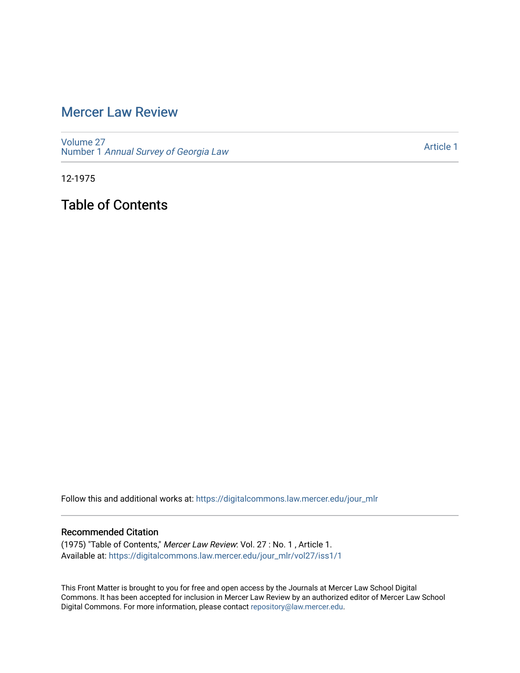# [Mercer Law Review](https://digitalcommons.law.mercer.edu/jour_mlr)

[Volume 27](https://digitalcommons.law.mercer.edu/jour_mlr/vol27) Number 1 [Annual Survey of Georgia Law](https://digitalcommons.law.mercer.edu/jour_mlr/vol27/iss1) 

[Article 1](https://digitalcommons.law.mercer.edu/jour_mlr/vol27/iss1/1) 

12-1975

Table of Contents

Follow this and additional works at: [https://digitalcommons.law.mercer.edu/jour\\_mlr](https://digitalcommons.law.mercer.edu/jour_mlr?utm_source=digitalcommons.law.mercer.edu%2Fjour_mlr%2Fvol27%2Fiss1%2F1&utm_medium=PDF&utm_campaign=PDFCoverPages)

#### Recommended Citation

(1975) "Table of Contents," Mercer Law Review: Vol. 27 : No. 1 , Article 1. Available at: [https://digitalcommons.law.mercer.edu/jour\\_mlr/vol27/iss1/1](https://digitalcommons.law.mercer.edu/jour_mlr/vol27/iss1/1?utm_source=digitalcommons.law.mercer.edu%2Fjour_mlr%2Fvol27%2Fiss1%2F1&utm_medium=PDF&utm_campaign=PDFCoverPages)

This Front Matter is brought to you for free and open access by the Journals at Mercer Law School Digital Commons. It has been accepted for inclusion in Mercer Law Review by an authorized editor of Mercer Law School Digital Commons. For more information, please contact [repository@law.mercer.edu](mailto:repository@law.mercer.edu).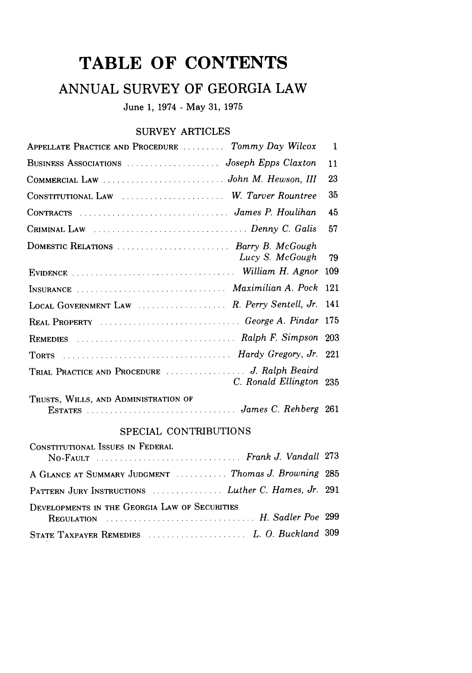# **TABLE OF CONTENTS**

## **ANNUAL** SURVEY OF GEORGIA LAW

June **1,** 1974 **-** May **31, 1975**

#### SURVEY ARTICLES

| APPELLATE PRACTICE AND PROCEDURE  Tommy Day Wilcox                                                                 | $\mathbf{1}$ |
|--------------------------------------------------------------------------------------------------------------------|--------------|
|                                                                                                                    | 11           |
|                                                                                                                    | 23           |
| CONSTITUTIONAL LAW  W. Tarver Rountree                                                                             | 35           |
|                                                                                                                    | 45           |
|                                                                                                                    | 57           |
| DOMESTIC RELATIONS  Barry B. McGough<br>Lucy S. McGough                                                            | -79          |
|                                                                                                                    | 109          |
| INSURANCE  Maximilian A. Pock                                                                                      | 121          |
| LOCAL GOVERNMENT LAW  R. Perry Sentell, Jr. 141                                                                    |              |
| REAL PROPERTY  George A. Pindar 175                                                                                |              |
|                                                                                                                    |              |
| TORTS CONSULTERING TORTS (Separate Line of Mardy Gregory, Jr. 221)                                                 |              |
| C. Ronald Ellington 235                                                                                            |              |
| TRUSTS, WILLS, AND ADMINISTRATION OF<br>ESTATES [10] ESTATES [261] [261] ESTATES [261] ESTATES [261] ESTATES [261] |              |

### SPECIAL CONTRIBUTIONS

| CONSTITUTIONAL ISSUES IN FEDERAL                     |  |
|------------------------------------------------------|--|
| A GLANCE AT SUMMARY JUDGMENT  Thomas J. Browning 285 |  |
| PATTERN JURY INSTRUCTIONS  Luther C. Hames, Jr. 291  |  |
| DEVELOPMENTS IN THE GEORGIA LAW OF SECURITIES        |  |
|                                                      |  |